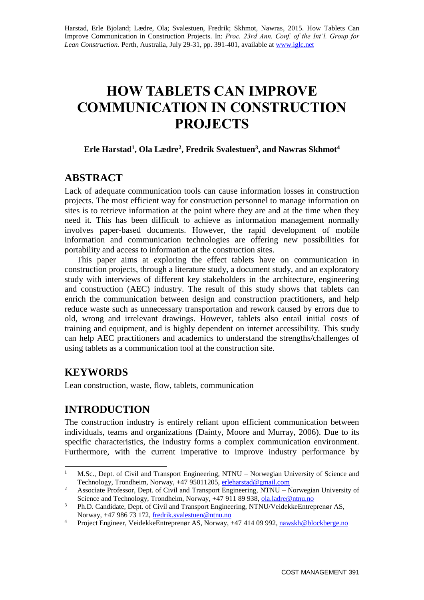# **HOW TABLETS CAN IMPROVE COMMUNICATION IN CONSTRUCTION PROJECTS**

### **Erle Harstad<sup>1</sup> , Ola Lædre<sup>2</sup> , Fredrik Svalestuen<sup>3</sup> , and Nawras Skhmot<sup>4</sup>**

# **ABSTRACT**

Lack of adequate communication tools can cause information losses in construction projects. The most efficient way for construction personnel to manage information on sites is to retrieve information at the point where they are and at the time when they need it. This has been difficult to achieve as information management normally involves paper-based documents. However, the rapid development of mobile information and communication technologies are offering new possibilities for portability and access to information at the construction sites.

This paper aims at exploring the effect tablets have on communication in construction projects, through a literature study, a document study, and an exploratory study with interviews of different key stakeholders in the architecture, engineering and construction (AEC) industry. The result of this study shows that tablets can enrich the communication between design and construction practitioners, and help reduce waste such as unnecessary transportation and rework caused by errors due to old, wrong and irrelevant drawings. However, tablets also entail initial costs of training and equipment, and is highly dependent on internet accessibility. This study can help AEC practitioners and academics to understand the strengths/challenges of using tablets as a communication tool at the construction site.

# **KEYWORDS**

Lean construction, waste, flow, tablets, communication

# **INTRODUCTION**

The construction industry is entirely reliant upon efficient communication between individuals, teams and organizations (Dainty, Moore and Murray, 2006). Due to its specific characteristics, the industry forms a complex communication environment. Furthermore, with the current imperative to improve industry performance by

 $\mathbf{1}$ <sup>1</sup> M.Sc., Dept. of Civil and Transport Engineering, NTNU – Norwegian University of Science and Technology, Trondheim, Norway, +47 95011205, [erleharstad@gmail.com](mailto:erleharstad@gmail.com)

<sup>&</sup>lt;sup>2</sup> Associate Professor, Dept. of Civil and Transport Engineering, NTNU – Norwegian University of Science and Technology, Trondheim, Norway, +47 911 89 938, [ola.ladre@ntnu.no](mailto:ola.ladre@ntnu.no)

<sup>&</sup>lt;sup>3</sup> Ph.D. Candidate, Dept. of Civil and Transport Engineering, NTNU/VeidekkeEntreprenør AS, Norway, +47 986 73 172, [fredrik.svalestuen@ntnu.no](mailto:fredrik.svalestuen@ntnu.no)

<sup>&</sup>lt;sup>4</sup> Project Engineer, VeidekkeEntreprenør AS, Norway, +47 414 09 992[, nawskh@blockberge.no](mailto:nawskh@blockberge.no)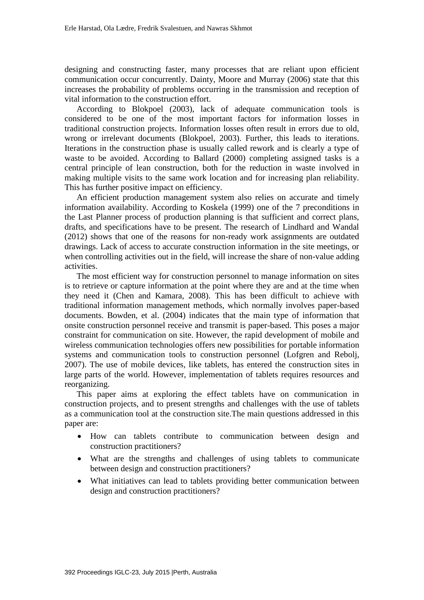designing and constructing faster, many processes that are reliant upon efficient communication occur concurrently. Dainty, Moore and Murray (2006) state that this increases the probability of problems occurring in the transmission and reception of vital information to the construction effort.

According to Blokpoel (2003), lack of adequate communication tools is considered to be one of the most important factors for information losses in traditional construction projects. Information losses often result in errors due to old, wrong or irrelevant documents (Blokpoel, 2003). Further, this leads to iterations. Iterations in the construction phase is usually called rework and is clearly a type of waste to be avoided. According to Ballard (2000) completing assigned tasks is a central principle of lean construction, both for the reduction in waste involved in making multiple visits to the same work location and for increasing plan reliability. This has further positive impact on efficiency.

An efficient production management system also relies on accurate and timely information availability. According to Koskela (1999) one of the 7 preconditions in the Last Planner process of production planning is that sufficient and correct plans, drafts, and specifications have to be present. The research of Lindhard and Wandal (2012) shows that one of the reasons for non-ready work assignments are outdated drawings. Lack of access to accurate construction information in the site meetings, or when controlling activities out in the field, will increase the share of non-value adding activities.

The most efficient way for construction personnel to manage information on sites is to retrieve or capture information at the point where they are and at the time when they need it (Chen and Kamara, 2008). This has been difficult to achieve with traditional information management methods, which normally involves paper-based documents. Bowden, et al. (2004) indicates that the main type of information that onsite construction personnel receive and transmit is paper-based. This poses a major constraint for communication on site. However, the rapid development of mobile and wireless communication technologies offers new possibilities for portable information systems and communication tools to construction personnel (Lofgren and Rebolj, 2007). The use of mobile devices, like tablets, has entered the construction sites in large parts of the world. However, implementation of tablets requires resources and reorganizing.

This paper aims at exploring the effect tablets have on communication in construction projects, and to present strengths and challenges with the use of tablets as a communication tool at the construction site.The main questions addressed in this paper are:

- How can tablets contribute to communication between design and construction practitioners?
- What are the strengths and challenges of using tablets to communicate between design and construction practitioners?
- What initiatives can lead to tablets providing better communication between design and construction practitioners?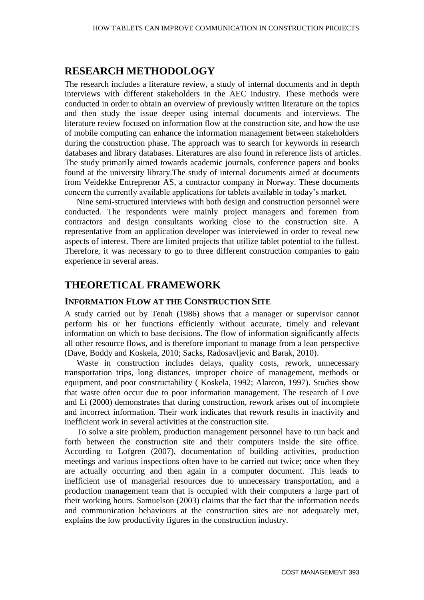# **RESEARCH METHODOLOGY**

The research includes a literature review, a study of internal documents and in depth interviews with different stakeholders in the AEC industry. These methods were conducted in order to obtain an overview of previously written literature on the topics and then study the issue deeper using internal documents and interviews. The literature review focused on information flow at the construction site, and how the use of mobile computing can enhance the information management between stakeholders during the construction phase. The approach was to search for keywords in research databases and library databases. Literatures are also found in reference lists of articles. The study primarily aimed towards academic journals, conference papers and books found at the university library.The study of internal documents aimed at documents from Veidekke Entreprenør AS, a contractor company in Norway. These documents concern the currently available applications for tablets available in today's market.

Nine semi-structured interviews with both design and construction personnel were conducted. The respondents were mainly project managers and foremen from contractors and design consultants working close to the construction site. A representative from an application developer was interviewed in order to reveal new aspects of interest. There are limited projects that utilize tablet potential to the fullest. Therefore, it was necessary to go to three different construction companies to gain experience in several areas.

## **THEORETICAL FRAMEWORK**

#### **INFORMATION FLOW AT THE CONSTRUCTION SITE**

A study carried out by Tenah (1986) shows that a manager or supervisor cannot perform his or her functions efficiently without accurate, timely and relevant information on which to base decisions. The flow of information significantly affects all other resource flows, and is therefore important to manage from a lean perspective (Dave, Boddy and Koskela, 2010; Sacks, Radosavljevic and Barak, 2010).

Waste in construction includes delays, quality costs, rework, unnecessary transportation trips, long distances, improper choice of management, methods or equipment, and poor constructability ( Koskela, 1992; Alarcon, 1997). Studies show that waste often occur due to poor information management. The research of Love and Li (2000) demonstrates that during construction, rework arises out of incomplete and incorrect information. Their work indicates that rework results in inactivity and inefficient work in several activities at the construction site.

To solve a site problem, production management personnel have to run back and forth between the construction site and their computers inside the site office. According to Lofgren (2007), documentation of building activities, production meetings and various inspections often have to be carried out twice; once when they are actually occurring and then again in a computer document. This leads to inefficient use of managerial resources due to unnecessary transportation, and a production management team that is occupied with their computers a large part of their working hours. Samuelson (2003) claims that the fact that the information needs and communication behaviours at the construction sites are not adequately met, explains the low productivity figures in the construction industry.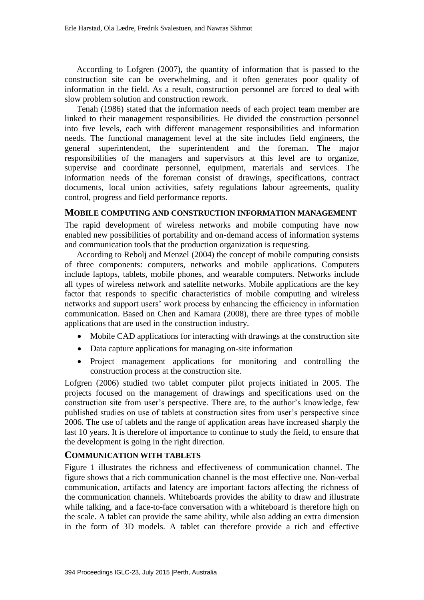According to Lofgren (2007), the quantity of information that is passed to the construction site can be overwhelming, and it often generates poor quality of information in the field. As a result, construction personnel are forced to deal with slow problem solution and construction rework.

Tenah (1986) stated that the information needs of each project team member are linked to their management responsibilities. He divided the construction personnel into five levels, each with different management responsibilities and information needs. The functional management level at the site includes field engineers, the general superintendent, the superintendent and the foreman. The major responsibilities of the managers and supervisors at this level are to organize, supervise and coordinate personnel, equipment, materials and services. The information needs of the foreman consist of drawings, specifications, contract documents, local union activities, safety regulations labour agreements, quality control, progress and field performance reports.

#### **MOBILE COMPUTING AND CONSTRUCTION INFORMATION MANAGEMENT**

The rapid development of wireless networks and mobile computing have now enabled new possibilities of portability and on-demand access of information systems and communication tools that the production organization is requesting.

According to Rebolj and Menzel (2004) the concept of mobile computing consists of three components: computers, networks and mobile applications. Computers include laptops, tablets, mobile phones, and wearable computers. Networks include all types of wireless network and satellite networks. Mobile applications are the key factor that responds to specific characteristics of mobile computing and wireless networks and support users' work process by enhancing the efficiency in information communication. Based on Chen and Kamara (2008), there are three types of mobile applications that are used in the construction industry.

- Mobile CAD applications for interacting with drawings at the construction site
- Data capture applications for managing on-site information
- Project management applications for monitoring and controlling the construction process at the construction site.

Lofgren (2006) studied two tablet computer pilot projects initiated in 2005. The projects focused on the management of drawings and specifications used on the construction site from user's perspective. There are, to the author's knowledge, few published studies on use of tablets at construction sites from user's perspective since 2006. The use of tablets and the range of application areas have increased sharply the last 10 years. It is therefore of importance to continue to study the field, to ensure that the development is going in the right direction.

#### **COMMUNICATION WITH TABLETS**

Figure 1 illustrates the richness and effectiveness of communication channel. The figure shows that a rich communication channel is the most effective one. Non-verbal communication, artifacts and latency are important factors affecting the richness of the communication channels. Whiteboards provides the ability to draw and illustrate while talking, and a face-to-face conversation with a whiteboard is therefore high on the scale. A tablet can provide the same ability, while also adding an extra dimension in the form of 3D models. A tablet can therefore provide a rich and effective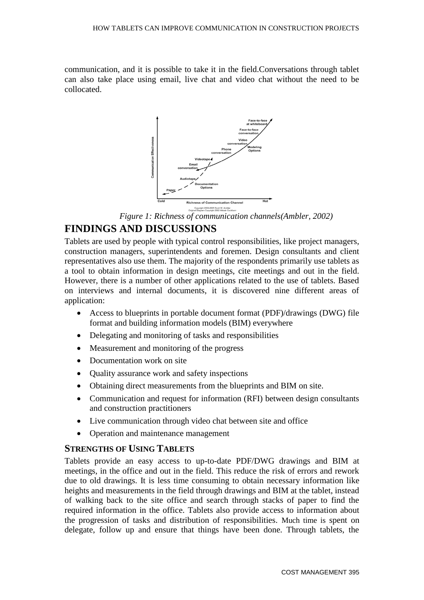communication, and it is possible to take it in the field.Conversations through tablet can also take place using email, live chat and video chat without the need to be collocated.



*Figure 1: Richness of communication channels(Ambler, 2002)*

# **FINDINGS AND DISCUSSIONS**

Tablets are used by people with typical control responsibilities, like project managers, construction managers, superintendents and foremen. Design consultants and client representatives also use them. The majority of the respondents primarily use tablets as a tool to obtain information in design meetings, cite meetings and out in the field. However, there is a number of other applications related to the use of tablets. Based on interviews and internal documents, it is discovered nine different areas of application:

- Access to blueprints in portable document format (PDF)/drawings (DWG) file format and building information models (BIM) everywhere
- Delegating and monitoring of tasks and responsibilities
- Measurement and monitoring of the progress
- Documentation work on site
- Quality assurance work and safety inspections
- Obtaining direct measurements from the blueprints and BIM on site.
- Communication and request for information (RFI) between design consultants and construction practitioners
- Live communication through video chat between site and office
- Operation and maintenance management

#### **STRENGTHS OF USING TABLETS**

Tablets provide an easy access to up-to-date PDF/DWG drawings and BIM at meetings, in the office and out in the field. This reduce the risk of errors and rework due to old drawings. It is less time consuming to obtain necessary information like heights and measurements in the field through drawings and BIM at the tablet, instead of walking back to the site office and search through stacks of paper to find the required information in the office. Tablets also provide access to information about the progression of tasks and distribution of responsibilities. Much time is spent on delegate, follow up and ensure that things have been done. Through tablets, the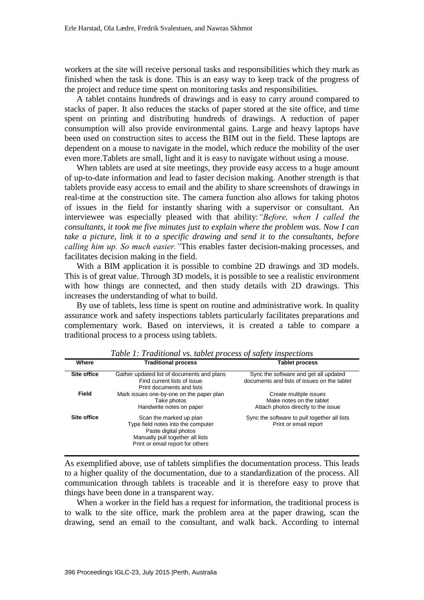workers at the site will receive personal tasks and responsibilities which they mark as finished when the task is done. This is an easy way to keep track of the progress of the project and reduce time spent on monitoring tasks and responsibilities.

A tablet contains hundreds of drawings and is easy to carry around compared to stacks of paper. It also reduces the stacks of paper stored at the site office, and time spent on printing and distributing hundreds of drawings. A reduction of paper consumption will also provide environmental gains. Large and heavy laptops have been used on construction sites to access the BIM out in the field. These laptops are dependent on a mouse to navigate in the model, which reduce the mobility of the user even more.Tablets are small, light and it is easy to navigate without using a mouse.

When tablets are used at site meetings, they provide easy access to a huge amount of up-to-date information and lead to faster decision making. Another strength is that tablets provide easy access to email and the ability to share screenshots of drawings in real-time at the construction site. The camera function also allows for taking photos of issues in the field for instantly sharing with a supervisor or consultant. An interviewee was especially pleased with that ability:*"Before, when I called the consultants, it took me five minutes just to explain where the problem was. Now I can take a picture, link it to a specific drawing and send it to the consultants, before calling him up. So much easier."*This enables faster decision-making processes, and facilitates decision making in the field.

With a BIM application it is possible to combine 2D drawings and 3D models. This is of great value. Through 3D models, it is possible to see a realistic environment with how things are connected, and then study details with 2D drawings. This increases the understanding of what to build.

By use of tablets, less time is spent on routine and administrative work. In quality assurance work and safety inspections tablets particularly facilitates preparations and complementary work. Based on interviews, it is created a table to compare a traditional process to a process using tablets.

| Where       | <b>Traditional process</b>                 | <b>Tablet process</b>                        |  |
|-------------|--------------------------------------------|----------------------------------------------|--|
|             |                                            |                                              |  |
| Site office | Gather updated list of documents and plans | Sync the software and get all updated        |  |
|             | Find current lists of issue                | documents and lists of issues on the tablet  |  |
|             | Print documents and lists                  |                                              |  |
| Field       | Mark issues one-by-one on the paper plan   | Create multiple issues                       |  |
|             |                                            |                                              |  |
|             | Take photos                                | Make notes on the tablet                     |  |
|             | Handwrite notes on paper                   | Attach photos directly to the issue          |  |
|             |                                            |                                              |  |
| Site office | Scan the marked up plan                    | Sync the software to pull together all lists |  |
|             |                                            | Print or email report                        |  |
|             | Type field notes into the computer         |                                              |  |
|             | Paste digital photos                       |                                              |  |
|             | Manually pull together all lists           |                                              |  |
|             | Print or email report for others           |                                              |  |
|             |                                            |                                              |  |
|             |                                            |                                              |  |

*Table 1: Traditional vs. tablet process of safety inspections* 

As exemplified above, use of tablets simplifies the documentation process. This leads to a higher quality of the documentation, due to a standardization of the process. All communication through tablets is traceable and it is therefore easy to prove that things have been done in a transparent way.

When a worker in the field has a request for information, the traditional process is to walk to the site office, mark the problem area at the paper drawing, scan the drawing, send an email to the consultant, and walk back. According to internal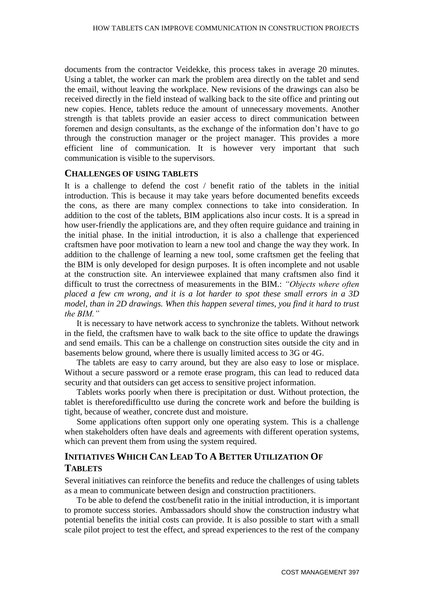documents from the contractor Veidekke, this process takes in average 20 minutes. Using a tablet, the worker can mark the problem area directly on the tablet and send the email, without leaving the workplace. New revisions of the drawings can also be received directly in the field instead of walking back to the site office and printing out new copies. Hence, tablets reduce the amount of unnecessary movements. Another strength is that tablets provide an easier access to direct communication between foremen and design consultants, as the exchange of the information don't have to go through the construction manager or the project manager. This provides a more efficient line of communication. It is however very important that such communication is visible to the supervisors.

#### **CHALLENGES OF USING TABLETS**

It is a challenge to defend the cost / benefit ratio of the tablets in the initial introduction. This is because it may take years before documented benefits exceeds the cons, as there are many complex connections to take into consideration. In addition to the cost of the tablets, BIM applications also incur costs. It is a spread in how user-friendly the applications are, and they often require guidance and training in the initial phase. In the initial introduction, it is also a challenge that experienced craftsmen have poor motivation to learn a new tool and change the way they work. In addition to the challenge of learning a new tool, some craftsmen get the feeling that the BIM is only developed for design purposes. It is often incomplete and not usable at the construction site. An interviewee explained that many craftsmen also find it difficult to trust the correctness of measurements in the BIM.: *"Objects where often placed a few cm wrong, and it is a lot harder to spot these small errors in a 3D model, than in 2D drawings. When this happen several times, you find it hard to trust the BIM."* 

It is necessary to have network access to synchronize the tablets. Without network in the field, the craftsmen have to walk back to the site office to update the drawings and send emails. This can be a challenge on construction sites outside the city and in basements below ground, where there is usually limited access to 3G or 4G.

The tablets are easy to carry around, but they are also easy to lose or misplace. Without a secure password or a remote erase program, this can lead to reduced data security and that outsiders can get access to sensitive project information.

Tablets works poorly when there is precipitation or dust. Without protection, the tablet is thereforedifficultto use during the concrete work and before the building is tight, because of weather, concrete dust and moisture.

Some applications often support only one operating system. This is a challenge when stakeholders often have deals and agreements with different operation systems, which can prevent them from using the system required.

### **INITIATIVES WHICH CAN LEAD TO A BETTER UTILIZATION OF TABLETS**

Several initiatives can reinforce the benefits and reduce the challenges of using tablets as a mean to communicate between design and construction practitioners.

To be able to defend the cost/benefit ratio in the initial introduction, it is important to promote success stories. Ambassadors should show the construction industry what potential benefits the initial costs can provide. It is also possible to start with a small scale pilot project to test the effect, and spread experiences to the rest of the company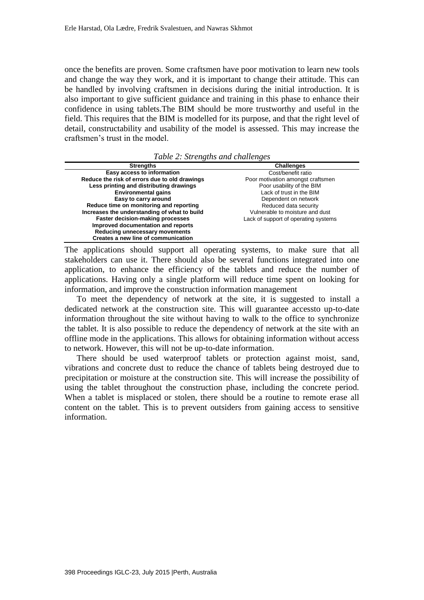once the benefits are proven. Some craftsmen have poor motivation to learn new tools and change the way they work, and it is important to change their attitude. This can be handled by involving craftsmen in decisions during the initial introduction. It is also important to give sufficient guidance and training in this phase to enhance their confidence in using tablets.The BIM should be more trustworthy and useful in the field. This requires that the BIM is modelled for its purpose, and that the right level of detail, constructability and usability of the model is assessed. This may increase the craftsmen's trust in the model.

*Table 2: Strengths and challenges*

| <b>Strengths</b>                              | <b>Challenges</b>                    |
|-----------------------------------------------|--------------------------------------|
| Easy access to information                    | Cost/benefit ratio                   |
| Reduce the risk of errors due to old drawings | Poor motivation amongst craftsmen    |
| Less printing and distributing drawings       | Poor usability of the BIM            |
| <b>Environmental gains</b>                    | Lack of trust in the BIM             |
| Easy to carry around                          | Dependent on network                 |
| Reduce time on monitoring and reporting       | Reduced data security                |
| Increases the understanding of what to build  | Vulnerable to moisture and dust      |
| <b>Faster decision-making processes</b>       | Lack of support of operating systems |
| Improved documentation and reports            |                                      |
| Reducing unnecessary movements                |                                      |
| Creates a new line of communication           |                                      |

The applications should support all operating systems, to make sure that all stakeholders can use it. There should also be several functions integrated into one application, to enhance the efficiency of the tablets and reduce the number of applications. Having only a single platform will reduce time spent on looking for information, and improve the construction information management

To meet the dependency of network at the site, it is suggested to install a dedicated network at the construction site. This will guarantee accessto up-to-date information throughout the site without having to walk to the office to synchronize the tablet. It is also possible to reduce the dependency of network at the site with an offline mode in the applications. This allows for obtaining information without access to network. However, this will not be up-to-date information.

There should be used waterproof tablets or protection against moist, sand, vibrations and concrete dust to reduce the chance of tablets being destroyed due to precipitation or moisture at the construction site. This will increase the possibility of using the tablet throughout the construction phase, including the concrete period. When a tablet is misplaced or stolen, there should be a routine to remote erase all content on the tablet. This is to prevent outsiders from gaining access to sensitive information.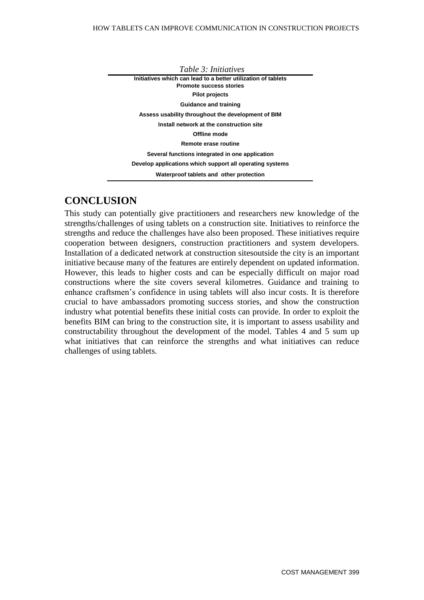*Table 3: Initiatives* **Initiatives which can lead to a better utilization of tablets Promote success stories Pilot projects Guidance and training Assess usability throughout the development of BIM Install network at the construction site Offline mode Remote erase routine Several functions integrated in one application Develop applications which support all operating systems Waterproof tablets and other protection** 

## **CONCLUSION**

This study can potentially give practitioners and researchers new knowledge of the strengths/challenges of using tablets on a construction site. Initiatives to reinforce the strengths and reduce the challenges have also been proposed. These initiatives require cooperation between designers, construction practitioners and system developers. Installation of a dedicated network at construction sitesoutside the city is an important initiative because many of the features are entirely dependent on updated information. However, this leads to higher costs and can be especially difficult on major road constructions where the site covers several kilometres. Guidance and training to enhance craftsmen's confidence in using tablets will also incur costs. It is therefore crucial to have ambassadors promoting success stories, and show the construction industry what potential benefits these initial costs can provide. In order to exploit the benefits BIM can bring to the construction site, it is important to assess usability and constructability throughout the development of the model. Tables 4 and 5 sum up what initiatives that can reinforce the strengths and what initiatives can reduce challenges of using tablets.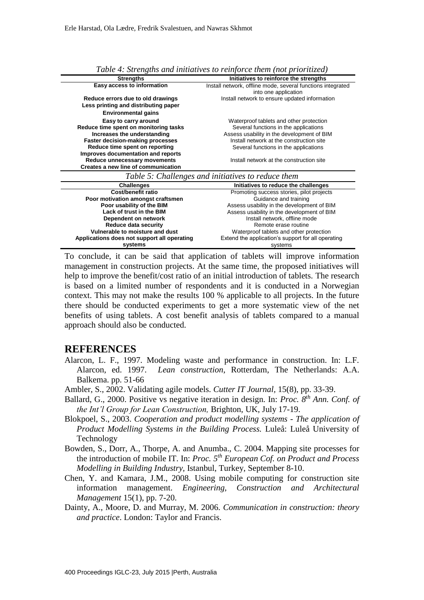| <b>Strengths</b>                                                          | Initiatives to reinforce the strengths                                              |
|---------------------------------------------------------------------------|-------------------------------------------------------------------------------------|
| Easy access to information                                                | Install network, offline mode, several functions integrated<br>into one application |
| Reduce errors due to old drawings<br>Less printing and distributing paper | Install network to ensure updated information                                       |
| <b>Environmental gains</b>                                                |                                                                                     |
| Easy to carry around                                                      | Waterproof tablets and other protection                                             |
| Reduce time spent on monitoring tasks                                     | Several functions in the applications                                               |
| Increases the understanding                                               | Assess usability in the development of BIM                                          |
| <b>Faster decision-making processes</b>                                   | Install network at the construction site                                            |
| Reduce time spent on reporting                                            | Several functions in the applications                                               |
| Improves documentation and reports                                        |                                                                                     |
| Reduce unnecessary movements                                              | Install network at the construction site                                            |
| Creates a new line of communication                                       |                                                                                     |
|                                                                           | Table 5: Challenges and initiatives to reduce them                                  |
| <b>Challenges</b>                                                         | Initiatives to reduce the challenges                                                |
| Cost/benefit ratio                                                        | Promoting success stories, pilot projects                                           |
| Poor motivation amongst craftsmen                                         | Guidance and training                                                               |
| Poor usability of the BIM                                                 | Assess usability in the development of BIM                                          |
| Lack of trust in the BIM                                                  | Assess usability in the development of BIM                                          |
| Dependent on network                                                      | Install network, offline mode                                                       |
| <b>Reduce data security</b>                                               | Remote erase routine                                                                |
| Vulnerable to moisture and dust                                           | Waterproof tablets and other protection                                             |
| Applications does not support all operating                               | Extend the application's support for all operating                                  |
|                                                                           |                                                                                     |

*Table 4: Strengths and initiatives to reinforce them (not prioritized)* 

To conclude, it can be said that application of tablets will improve information management in construction projects. At the same time, the proposed initiatives will help to improve the benefit/cost ratio of an initial introduction of tablets. The research is based on a limited number of respondents and it is conducted in a Norwegian context. This may not make the results 100 % applicable to all projects. In the future there should be conducted experiments to get a more systematic view of the net benefits of using tablets. A cost benefit analysis of tablets compared to a manual approach should also be conducted.

#### **REFERENCES**

- Alarcon, L. F., 1997. Modeling waste and performance in construction. In: L.F. Alarcon, ed. 1997. *Lean construction*, Rotterdam, The Netherlands: A.A. Balkema. pp. 51-66
- Ambler, S., 2002. Validating agile models. *Cutter IT Journal,* 15(8), pp. 33-39.
- Ballard, G., 2000. Positive vs negative iteration in design. In: *Proc. 8 th Ann. Conf. of the Int'l Group for Lean Construction,* Brighton, UK, July 17-19.
- Blokpoel, S., 2003. *Cooperation and product modelling systems - The application of Product Modelling Systems in the Building Process.* Luleå: Luleå University of Technology
- Bowden, S., Dorr, A., Thorpe, A. and Anumba., C. 2004. Mapping site processes for the introduction of mobile IT. In: *Proc. 5th European Cof. on Product and Process Modelling in Building Industry,* Istanbul, Turkey, September 8-10.
- Chen, Y. and Kamara, J.M., 2008. Using mobile computing for construction site information management. *Engineering, Construction and Architectural Management* 15(1), pp. 7-20.
- Dainty, A., Moore, D. and Murray, M. 2006. *Communication in construction: theory and practice*. London: Taylor and Francis.